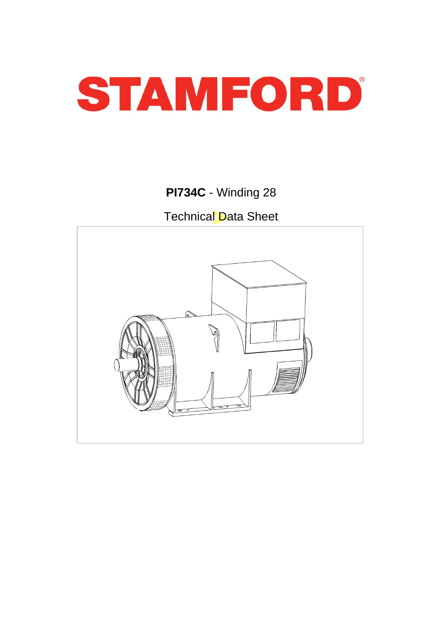

**PI734C** - Winding 28

Technical Data Sheet

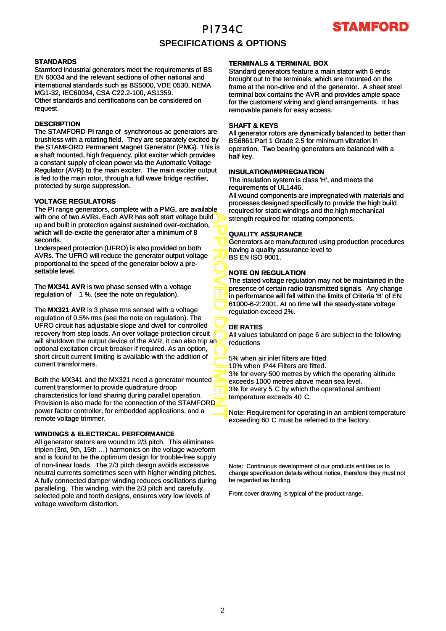## PI734C

## **TAMFORD**

### **SPECIFICATIONS & OPTIONS**

### **STANDARDS**

Stamford industrial generators meet the requirements of BS EN 60034 and the relevant sections of other national and international standards such as BS5000, VDE 0530, NEMA MG1-32, IEC60034, CSA C22.2-100, AS1359. Other standards and certifications can be considered on request.

#### **DESCRIPTION**

The STAMFORD PI range of synchronous ac generators are brushless with a rotating field. They are separately excited by the STAMFORD Permanent Magnet Generator (PMG). This is a shaft mounted, high frequency, pilot exciter which provides a constant supply of clean power via the Automatic Voltage Regulator (AVR) to the main exciter. The main exciter output is fed to the main rotor, through a full wave bridge rectifier, protected by surge suppression.

### **VOLTAGE REGULATORS**

APPROVED DOCUMENT The PI range generators, complete with a PMG, are available with one of two AVRs. Each AVR has soft start voltage build up and built in protection against sustained over-excitation, which will de-excite the generator after a minimum of 8 seconds.

Underspeed protection (UFRO) is also provided on both AVRs. The UFRO will reduce the generator output voltage proportional to the speed of the generator below a presettable level.

The **MX341 AVR** is two phase sensed with a voltage regulation of 1 %. (see the note on regulation).

The MX321 AVR is 3 phase rms sensed with a voltage regulation of 0.5% rms (see the note on regulation). The UFRO circuit has adjustable slope and dwell for controlled recovery from step loads. An over voltage protection circuit will shutdown the output device of the AVR, it can also trip and optional excitation circuit breaker if required. As an option, short circuit current limiting is available with the addition of current transformers.

Both the MX341 and the MX321 need a generator mounted current transformer to provide quadrature droop characteristics for load sharing during parallel operation. Provision is also made for the connection of the STAMFORD power factor controller, for embedded applications, and a remote voltage trimmer.

### **WINDINGS & ELECTRICAL PERFORMANCE**

All generator stators are wound to 2/3 pitch. This eliminates triplen (3rd, 9th, 15th …) harmonics on the voltage waveform and is found to be the optimum design for trouble-free supply of non-linear loads. The 2/3 pitch design avoids excessive neutral currents sometimes seen with higher winding pitches. A fully connected damper winding reduces oscillations during paralleling. This winding, with the 2/3 pitch and carefully selected pole and tooth designs, ensures very low levels of voltage waveform distortion.

#### **TERMINALS & TERMINAL BOX**

Standard generators feature a main stator with 6 ends brought out to the terminals, which are mounted on the frame at the non-drive end of the generator. A sheet steel terminal box contains the AVR and provides ample space for the customers' wiring and gland arrangements. It has removable panels for easy access.

#### **SHAFT & KEYS**

All generator rotors are dynamically balanced to better than BS6861:Part 1 Grade 2.5 for minimum vibration in operation. Two bearing generators are balanced with a half key.

#### **INSULATION/IMPREGNATION**

The insulation system is class 'H', and meets the requirements of UL1446.

All wound components are impregnated with materials and processes designed specifically to provide the high build required for static windings and the high mechanical strength required for rotating components.

### **QUALITY ASSURANCE**

Generators are manufactured using production procedures having a quality assurance level to BS EN ISO 9001.

### **NOTE ON REGULATION**

The stated voltage regulation may not be maintained in the presence of certain radio transmitted signals. Any change in performance will fall within the limits of Criteria 'B' of EN 61000-6-2:2001. At no time will the steady-state voltage regulation exceed 2%.

### **DE RATES**

All values tabulated on page 6 are subject to the following reductions

5% when air inlet filters are fitted.

10% when IP44 Filters are fitted.

3% for every 500 metres by which the operating altitude exceeds 1000 metres above mean sea level. 3% for every 5 C by which the operational ambient temperature exceeds 40 C.

Note: Requirement for operating in an ambient temperature exceeding 60 C must be referred to the factory.

Note: Continuous development of our products entitles us to change specification details without notice, therefore they must not be regarded as binding.

Front cover drawing is typical of the product range.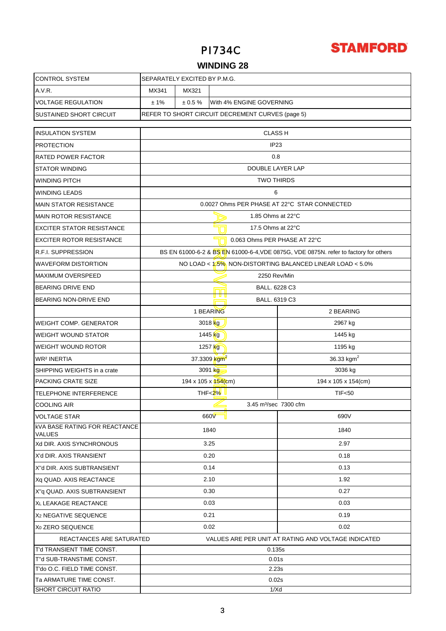## **STAMFORD**

## PI734C

### **WINDING 28**

| <b>CONTROL SYSTEM</b>                                                           | SEPARATELY EXCITED BY P.M.G.                     |                                              |                          |                                   |                                                                                      |  |  |  |
|---------------------------------------------------------------------------------|--------------------------------------------------|----------------------------------------------|--------------------------|-----------------------------------|--------------------------------------------------------------------------------------|--|--|--|
| A.V.R.                                                                          | MX341                                            | MX321                                        |                          |                                   |                                                                                      |  |  |  |
| <b>VOLTAGE REGULATION</b>                                                       | ±1%                                              | $\pm 0.5 \%$                                 |                          | With 4% ENGINE GOVERNING          |                                                                                      |  |  |  |
| SUSTAINED SHORT CIRCUIT                                                         | REFER TO SHORT CIRCUIT DECREMENT CURVES (page 5) |                                              |                          |                                   |                                                                                      |  |  |  |
| <b>INSULATION SYSTEM</b>                                                        |                                                  |                                              |                          | <b>CLASS H</b>                    |                                                                                      |  |  |  |
| <b>PROTECTION</b>                                                               |                                                  | IP <sub>23</sub>                             |                          |                                   |                                                                                      |  |  |  |
| RATED POWER FACTOR                                                              | 0.8                                              |                                              |                          |                                   |                                                                                      |  |  |  |
| STATOR WINDING                                                                  | DOUBLE LAYER LAP                                 |                                              |                          |                                   |                                                                                      |  |  |  |
| WINDING PITCH                                                                   | <b>TWO THIRDS</b>                                |                                              |                          |                                   |                                                                                      |  |  |  |
| WINDING LEADS                                                                   |                                                  | 6                                            |                          |                                   |                                                                                      |  |  |  |
| <b>MAIN STATOR RESISTANCE</b>                                                   |                                                  | 0.0027 Ohms PER PHASE AT 22°C STAR CONNECTED |                          |                                   |                                                                                      |  |  |  |
| <b>MAIN ROTOR RESISTANCE</b>                                                    |                                                  | 1.85 Ohms at 22°C                            |                          |                                   |                                                                                      |  |  |  |
| <b>EXCITER STATOR RESISTANCE</b>                                                |                                                  | 17.5 Ohms at 22°C                            |                          |                                   |                                                                                      |  |  |  |
| <b>EXCITER ROTOR RESISTANCE</b>                                                 |                                                  |                                              |                          | 0.063 Ohms PER PHASE AT 22°C      |                                                                                      |  |  |  |
| R.F.I. SUPPRESSION                                                              |                                                  |                                              |                          |                                   | BS EN 61000-6-2 & BS EN 61000-6-4, VDE 0875G, VDE 0875N. refer to factory for others |  |  |  |
| WAVEFORM DISTORTION                                                             |                                                  |                                              |                          |                                   | NO LOAD < 1.5% NON-DISTORTING BALANCED LINEAR LOAD < 5.0%                            |  |  |  |
| <b>MAXIMUM OVERSPEED</b>                                                        |                                                  |                                              |                          | 2250 Rev/Min                      |                                                                                      |  |  |  |
| BEARING DRIVE END                                                               |                                                  |                                              |                          | BALL. 6228 C3                     |                                                                                      |  |  |  |
| BEARING NON-DRIVE END                                                           |                                                  |                                              | ו ש                      | BALL. 6319 C3                     |                                                                                      |  |  |  |
|                                                                                 |                                                  |                                              | 1 BEARING                |                                   | 2 BEARING                                                                            |  |  |  |
| WEIGHT COMP. GENERATOR                                                          |                                                  |                                              | 3018 kg                  |                                   | 2967 kg                                                                              |  |  |  |
| WEIGHT WOUND STATOR                                                             |                                                  |                                              | 1445 kg                  |                                   | 1445 kg                                                                              |  |  |  |
| WEIGHT WOUND ROTOR                                                              |                                                  |                                              | 1257 kg                  |                                   | 1195 kg                                                                              |  |  |  |
| <b>WR<sup>2</sup> INERTIA</b>                                                   |                                                  |                                              | 37.3309 kgm <sup>2</sup> |                                   | 36.33 $kgm2$                                                                         |  |  |  |
| SHIPPING WEIGHTS in a crate                                                     |                                                  |                                              | 3091 kg                  |                                   | 3036 kg                                                                              |  |  |  |
| PACKING CRATE SIZE                                                              |                                                  | 194 x 105 x 154(cm)                          |                          |                                   | 194 x 105 x 154(cm)                                                                  |  |  |  |
| TELEPHONE INTERFERENCE                                                          |                                                  |                                              | $THF < 2\%$              |                                   | <b>TIF&lt;50</b>                                                                     |  |  |  |
| <b>COOLING AIR</b>                                                              |                                                  |                                              |                          | 3.45 m <sup>3</sup> /sec 7300 cfm |                                                                                      |  |  |  |
| <b>VOLTAGE STAR</b>                                                             |                                                  |                                              | 660V                     |                                   | 690V                                                                                 |  |  |  |
| <b>kVA BASE RATING FOR REACTANCE</b><br>VALUES                                  |                                                  |                                              | 1840                     |                                   | 1840                                                                                 |  |  |  |
| Xd DIR. AXIS SYNCHRONOUS                                                        |                                                  |                                              | 3.25                     |                                   | 2.97                                                                                 |  |  |  |
| X'd DIR. AXIS TRANSIENT                                                         |                                                  |                                              | 0.20                     |                                   | 0.18                                                                                 |  |  |  |
| X"d DIR. AXIS SUBTRANSIENT                                                      |                                                  |                                              | 0.14                     |                                   | 0.13                                                                                 |  |  |  |
| Xq QUAD. AXIS REACTANCE                                                         | 2.10                                             |                                              |                          |                                   | 1.92                                                                                 |  |  |  |
| X"q QUAD. AXIS SUBTRANSIENT                                                     | 0.30                                             |                                              |                          |                                   | 0.27                                                                                 |  |  |  |
| <b>XL LEAKAGE REACTANCE</b>                                                     | 0.03                                             |                                              |                          |                                   | 0.03                                                                                 |  |  |  |
| X <sub>2</sub> NEGATIVE SEQUENCE                                                | 0.21                                             |                                              |                          |                                   | 0.19                                                                                 |  |  |  |
| X <sub>0</sub> ZERO SEQUENCE                                                    | 0.02                                             |                                              |                          |                                   | 0.02                                                                                 |  |  |  |
| REACTANCES ARE SATURATED<br>VALUES ARE PER UNIT AT RATING AND VOLTAGE INDICATED |                                                  |                                              |                          |                                   |                                                                                      |  |  |  |
| T'd TRANSIENT TIME CONST.                                                       | 0.135s                                           |                                              |                          |                                   |                                                                                      |  |  |  |
| T"d SUB-TRANSTIME CONST.                                                        | 0.01s                                            |                                              |                          |                                   |                                                                                      |  |  |  |
| T'do O.C. FIELD TIME CONST.                                                     | 2.23s                                            |                                              |                          |                                   |                                                                                      |  |  |  |
| Ta ARMATURE TIME CONST.<br>SHORT CIRCUIT RATIO                                  | 0.02s<br>1/Xd                                    |                                              |                          |                                   |                                                                                      |  |  |  |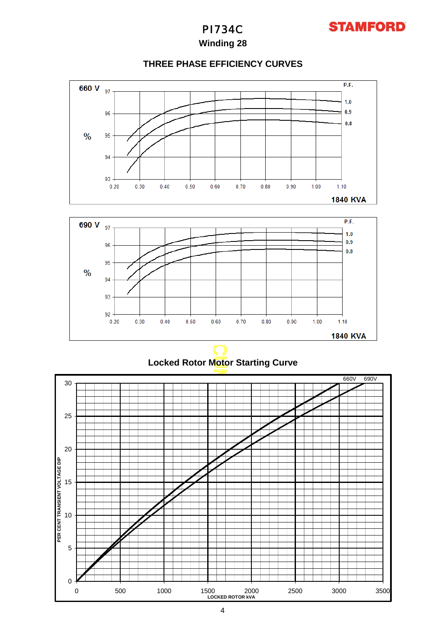## PI734C

### **Winding 28**

### **THREE PHASE EFFICIENCY CURVES**





**Locked Rotor Motor Starting Curve** 

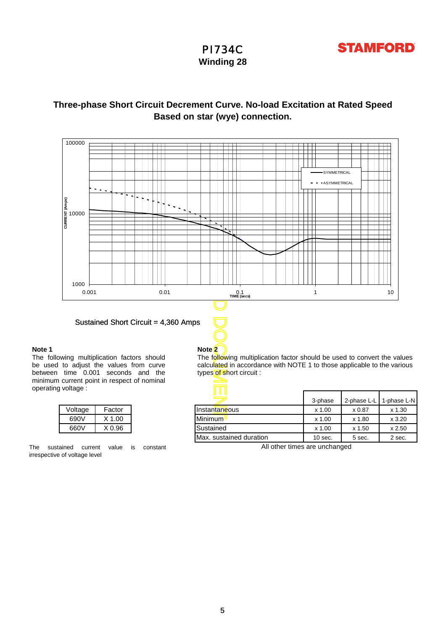

# PI734C

## **Winding 28**

## **Based on star (wye) connection. Three-phase Short Circuit Decrement Curve. No-load Excitation at Rated Speed**



**Note 2**

Sustained Short Circuit = 4,360 Amps

#### **Note 1**

The following multiplication factors should be used to adjust the values from curve between time 0.001 seconds and the minimum current point in respect of nominal operating voltage :

| Voltage | Factor   |
|---------|----------|
| 690V    | $X$ 1.00 |
| 660V    | X 0.96   |

The sustained current value is constant irrespective of voltage level

The following multiplication factor should be used to convert the values calculated in accordance with NOTE 1 to those applicable to the various types of short circuit :

| oilaye . |        |                         |           |             |             |  |
|----------|--------|-------------------------|-----------|-------------|-------------|--|
|          |        | - 8 8                   |           |             |             |  |
|          |        |                         | 3-phase   | 2-phase L-L | 1-phase L-N |  |
| Voltage  | Factor | Ilnstantan <b>e</b> ous | x 1.00    | x 0.87      | x 1.30      |  |
| 690V     | X 1.00 | Minimum                 | x 1.00    | x 1.80      | x3.20       |  |
| 660V     | X 0.96 | Sustained               | x 1.00    | x 1.50      | x 2.50      |  |
|          |        | Max. sustained duration | $10$ sec. | 5 sec.      | 2 sec.      |  |

All other times are unchanged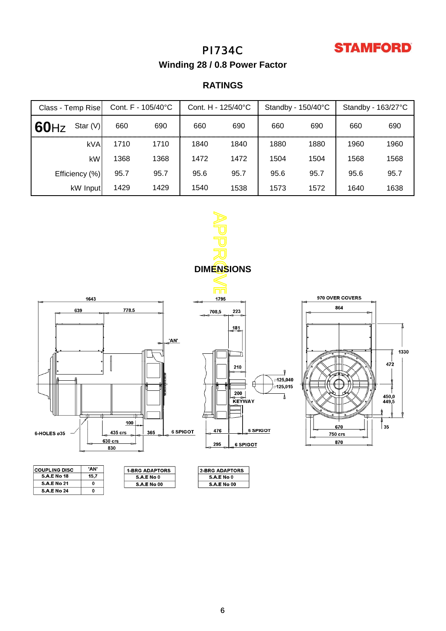## **STAMFORD**

## PI734C

**Winding 28 / 0.8 Power Factor**

### **RATINGS**

| Class - Temp Rise  | Cont. F - 105/40°C |      | Cont. H - 125/40°C |      | Standby - $150/40^{\circ}$ C |      | Standby - 163/27°C |      |
|--------------------|--------------------|------|--------------------|------|------------------------------|------|--------------------|------|
| 60Hz<br>Star $(V)$ | 660                | 690  | 660                | 690  | 660                          | 690  | 660                | 690  |
| kVA                | 1710               | 1710 | 1840               | 1840 | 1880                         | 1880 | 1960               | 1960 |
| kW                 | 1368               | 1368 | 1472               | 1472 | 1504                         | 1504 | 1568               | 1568 |
| Efficiency (%)     | 95.7               | 95.7 | 95.6               | 95.7 | 95.6                         | 95.7 | 95.6               | 95.7 |
| kW Input           | 1429               | 1429 | 1540               | 1538 | 1573                         | 1572 | 1640               | 1638 |